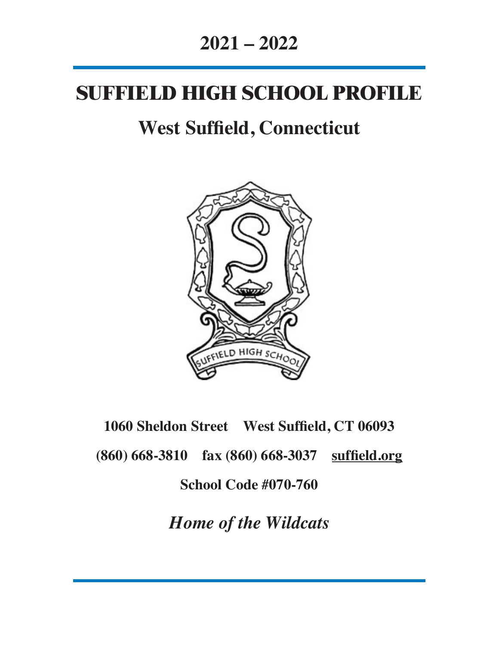## **2021 – 2022**

# **SUFFIELD HIGH SCHOOL PROFILE**

# **West Suffield, Connecticut**



# **1060 Sheldon Street West Suffield, CT 06093 (860) 668-3810 fax (860) 668-3037 suffield.org School Code #070-760**

*Home of the Wildcats*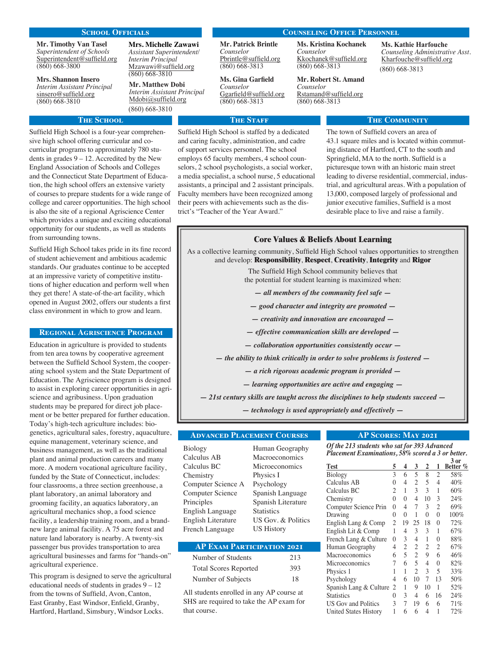#### SCHOOL OFFICIALS COUNSELING OFFICE PERSONNEL

**Mr. Timothy Van Tasel** *Superintendent of Schools* Superintendent@suffield.org (860) 668-3800

**Mrs. Shannon Insero** *Interim Assistant Principal* sinsero@suffield.org (860) 668-3810

### **THE SCHOOL**

Suffield High School is a four-year comprehensive high school offering curricular and cocurricular programs to approximately 780 students in grades  $9 - 12$ . Accredited by the New England Association of Schools and Colleges and the Connecticut State Department of Education, the high school offers an extensive variety of courses to prepare students for a wide range of college and career opportunities. The high school is also the site of a regional Agriscience Center which provides a unique and exciting educational opportunity for our students, as well as students from surrounding towns.

Suffield High School takes pride in its fine record of student achievement and ambitious academic standards. Our graduates continue to be accepted at an impressive variety of competitive institutions of higher education and perform well when they get there! A state-of-the-art facility, which opened in August 2002, offers our students a first class environment in which to grow and learn.

#### Regional Agriscience Program

Education in agriculture is provided to students from ten area towns by cooperative agreement between the Suffield School System, the cooperating school system and the State Department of Education. The Agriscience program is designed to assist in exploring career opportunities in agriscience and agribusiness. Upon graduation students may be prepared for direct job placement or be better prepared for further education. Today's high-tech agriculture includes: biogenetics, agricultural sales, forestry, aquaculture, equine management, veterinary science, and business management, as well as the traditional plant and animal production careers and many more. A modern vocational agriculture facility, funded by the State of Connecticut, includes: four classrooms, a three section greenhouse, a plant laboratory, an animal laboratory and grooming facility, an aquatics laboratory, an agricultural mechanics shop, a food science facility, a leadership training room, and a brandnew large animal facility. A 75 acre forest and nature land laboratory is nearby. A twenty-six passenger bus provides transportation to area agricultural businesses and farms for "hands-on" agricultural experience.

This program is designed to serve the agricultural educational needs of students in grades  $9 - 12$ from the towns of Suffield, Avon, Canton, East Granby, East Windsor, Enfield, Granby, Hartford, Hartland, Simsbury, Windsor Locks.

**Mrs. Michelle Zawawi** *Assistant Superintendent/ Interim Principal* Mzawawi@suffield.org (860) 668-3810

**Mr. Matthew Dobi**  *Interim Assistant Principal* [Mdobi@suffield.org](mailto:mdobi@suffield.org)

(860) 668-3810

**Mr. Patrick Brintle** *Counselor* Pbrintle@suffield.org (860) 668-3813

**Ms. Gina Garfield** *Counselor* Ggarfield@suffield.org (860) 668-3813

#### **THE STAFF**

Suffield High School is staffed by a dedicated and caring faculty, administration, and cadre of support services personnel. The school employs 65 faculty members, 4 school counselors, 2 school psychologists, a social worker, a media specialist, a school nurse, 5 educational assistants, a principal and 2 assistant principals. Faculty members have been recognized among their peers with achievements such as the district's "Teacher of the Year Award."

**Ms. Kristina Kochanek**

*Counselor* Kkochanek@suffield.org (860) 668-3813

**Mr. Robert St. Amand** *Counselor* Rstamand@suffield.org (860) 668-3813

#### **Ms. Kathie Harfouche**  *Counseling Administrative Asst.* Kharfouche[@suffield.org](mailto:kharfouche@suffield.org) (860) 668-3813

#### **THE COMMUNITY**

The town of Suffield covers an area of 43.1 square miles and is located within commuting distance of Hartford, CT to the south and Springfield, MA to the north. Suffield is a picturesque town with an historic main street leading to diverse residential, commercial, industrial, and agricultural areas. With a population of 13,000, composed largely of professional and junior executive families, Suffield is a most desirable place to live and raise a family.

#### **Core Values & Beliefs About Learning**

As a collective learning community, Suffield High School values opportunities to strengthen and develop: **Responsibility**, **Respect**, **Creativity**, **Integrity** and **Rigor**

> The Suffield High School community believes that the potential for student learning is maximized when:

*— all members of the community feel safe —*

- *good character and integrity are promoted —*
- *creativity and innovation are encouraged —*
- *effective communication skills are developed —*
- *collaboration opportunities consistently occur —*

*— the ability to think critically in order to solve problems is fostered —*

- *a rich rigorous academic program is provided —*
- *learning opportunities are active and engaging —*

*— 21st century skills are taught across the disciplines to help students succeed —*

*— technology is used appropriately and effectively —*

#### Advanced Placement Courses

Biology Calculus AB Calculus BC **Chemistry** Computer Science A Computer Science Principles English Language English Literature French Language

Human Geography Macroeconomics Microeconomics Physics I Psychology Spanish Language Spanish Literature **Statistics** US Gov. & Politics US History

#### AP Exam Participation 2021

| Number of Students           | 213 |
|------------------------------|-----|
| <b>Total Scores Reported</b> | 393 |
| Number of Subjects           | 18  |

All students enrolled in any AP course at SHS are required to take the AP exam for that course.

#### AP Scores: May 2021

*Of the 213 students who sat for 393 Advanced Placement Examinations, 58% scored a 3 or better.*

| <b>Test</b>                  | 5 | 4        | 3              | 2  | 1        | $3$ or<br>Better % |
|------------------------------|---|----------|----------------|----|----------|--------------------|
| Biology                      | 3 | 6        | 5              | 8  | 2        | 58%                |
| Calculus AB                  | 0 | 4        | 2              | 5  | 4        | 40%                |
| Calculus BC                  | 2 | 1        | 3              | 3  | 1        | 60%                |
| Chemistry                    | 0 | $\theta$ | 4              | 10 | 3        | 24%                |
| Computer Science Prin        | 0 | 4        | 7              | 3  | 2        | 69%                |
| Drawing                      | 0 | $\theta$ | 1              | 0  | $\Omega$ | 100%               |
| English Lang & Comp          | 2 | 19       | 25             | 18 | 0        | 72%                |
| English Lit & Comp           | 1 | 4        | 3              | 3  | 1        | 67%                |
| French Lang & Culture        | 0 | 3        | 4              | 1  | 0        | 88%                |
| Human Geography              | 4 | 2        | $\overline{2}$ | 2  | 2        | 67%                |
| Macroeconomics               | 6 | 5        | 2              | 9  | 6        | 46%                |
| Microeconomics               | 7 | 6        | 5              | 4  | $\theta$ | 82%                |
| Physics 1                    | 1 | 1        | $\overline{c}$ | 3  | 5        | 33%                |
| Psychology                   | 4 | 6        | 10             | 7  | 13       | 50%                |
| Spanish Lang & Culture       | 2 | 1        | 9              | 10 | 1        | 52%                |
| <b>Statistics</b>            | 0 | 3        | 4              | 6  | 16       | 24%                |
| <b>US Gov and Politics</b>   | 3 | 7        | 19             | 6  | 6        | 71%                |
| <b>United States History</b> | 1 | 6        | 6              | 4  | 1        | 72%                |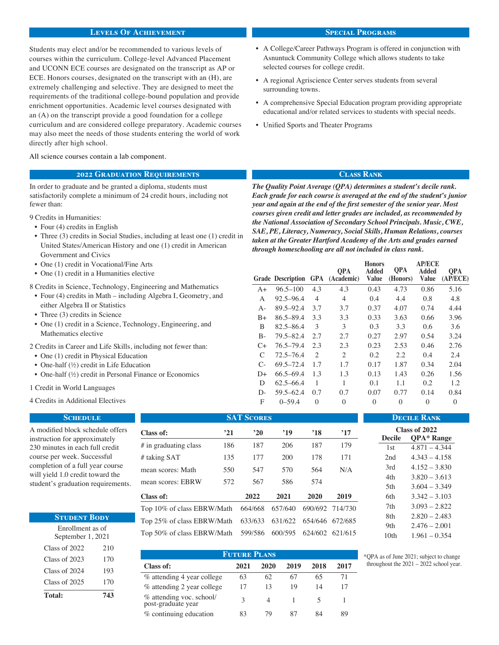#### Levels Of Achievement

Students may elect and/or be recommended to various levels of courses within the curriculum. College-level Advanced Placement and UCONN ECE courses are designated on the transcript as AP or ECE. Honors courses, designated on the transcript with an (H), are extremely challenging and selective. They are designed to meet the requirements of the traditional college-bound population and provide enrichment opportunities. Academic level courses designated with an (A) on the transcript provide a good foundation for a college curriculum and are considered college preparatory. Academic courses may also meet the needs of those students entering the world of work directly after high school.

#### All science courses contain a lab component.

#### 2022 Graduation Requirements

In order to graduate and be granted a diploma, students must satisfactorily complete a minimum of 24 credit hours, including not fewer than:

9 Credits in Humanities:

- Four (4) credits in English
- Three (3) credits in Social Studies, including at least one (1) credit in United States/American History and one (1) credit in American Government and Civics
- One (1) credit in Vocational/Fine Arts
- One (1) credit in a Humanities elective

8 Credits in Science, Technology, Engineering and Mathematics

- Four (4) credits in Math including Algebra I, Geometry, and either Algebra II or Statistics
- Three (3) credits in Science
- One (1) credit in a Science, Technology, Engineering, and Mathematics elective
- 2 Credits in Career and Life Skills, including not fewer than:
- One (1) credit in Physical Education
- One-half (½) credit in Life Education
- One-half (½) credit in Personal Finance or Economics
- 1 Credit in World Languages

4 Credits in Additional Electives

#### **SCHEDULE** A modified block schedule offers instruction for approximately 230 minutes in each full credit course per week. Successful completion of a full year course will yield 1.0 credit toward the student's graduation requirements.

| <b>STUDENT BODY</b>                   |     |  |  |  |  |
|---------------------------------------|-----|--|--|--|--|
| Enrollment as of<br>September 1, 2021 |     |  |  |  |  |
| Class of $2022$                       | 210 |  |  |  |  |
| Class of 2023                         | 170 |  |  |  |  |
| Class of $2024$                       | 193 |  |  |  |  |
| Class of $2025$                       | 170 |  |  |  |  |
| <b>Total:</b>                         | 743 |  |  |  |  |

| <b>SAT SCORES</b>                  |     |              |         |                         |                 |  |  |  |
|------------------------------------|-----|--------------|---------|-------------------------|-----------------|--|--|--|
| Class of:                          | 21' | $20^{\circ}$ | '19     | $^{\prime}18$           | $^{\circ}17$    |  |  |  |
| # in graduating class              | 186 | 187          | 206     | 187                     | 179             |  |  |  |
| # taking SAT                       | 135 | 177          | 200     | 178                     | 171             |  |  |  |
| mean scores: Math                  | 550 | 547          | 570     | 564                     | N/A             |  |  |  |
| mean scores: EBRW                  | 572 | 567          | 586     | 574                     |                 |  |  |  |
| Class of:                          |     | 2022         | 2021    | 2020                    | 2019            |  |  |  |
| Top 10% of class EBRW/Math         |     | 664/668      | 657/640 |                         | 690/692 714/730 |  |  |  |
| Top 25% of class EBRW/Math         |     | 633/633      |         | 631/622 654/646 672/685 |                 |  |  |  |
| Top 50% of class EBRW/Math 599/586 |     |              | 600/595 |                         | 624/602 621/615 |  |  |  |
|                                    |     |              |         |                         |                 |  |  |  |

| <b>FUTURE PLANS</b>                            |      |      |      |      |      |  |  |
|------------------------------------------------|------|------|------|------|------|--|--|
| Class of:                                      | 2021 | 2020 | 2019 | 2018 | 2017 |  |  |
| % attending 4 year college                     | 63   | 62   | 67   | 65   | 71   |  |  |
| % attending 2 year college                     | 17   | 13   | 19   | 14   |      |  |  |
| % attending voc. school/<br>post-graduate year |      |      |      |      |      |  |  |
| % continuing education                         | 83   | 79   | 87   | 84   | 89   |  |  |

#### Special Programs

- A College/Career Pathways Program is offered in conjunction with Asnuntuck Community College which allows students to take selected courses for college credit.
- A regional Agriscience Center serves students from several surrounding towns.
- A comprehensive Special Education program providing appropriate educational and/or related services to students with special needs.
- Unified Sports and Theater Programs

#### Class Rank

*The Quality Point Average (QPA) determines a student's decile rank. Each grade for each course is averaged at the end of the student's junior year and again at the end of the first semester of the senior year. Most courses given credit and letter grades are included, as recommended by the National Association of Secondary School Principals. Music, CWE, SAE, PE, Literacy, Numeracy, Social Skills, Human Relations, courses taken at the Greater Hartford Academy of the Arts and grades earned through homeschooling are all not included in class rank.*

|         |                              |     | <b>OPA</b>     | <b>Honors</b><br><b>Added</b> | <b>QPA</b> | <b>AP/ECE</b><br><b>Added</b> | <b>OPA</b> |
|---------|------------------------------|-----|----------------|-------------------------------|------------|-------------------------------|------------|
|         | <b>Grade Description GPA</b> |     | (Academic)     | <b>Value</b>                  | (Honors)   | <b>Value</b>                  | (AP/ECE)   |
| $A+$    | $96.5 - 100$                 | 4.3 | 4.3            | 0.43                          | 4.73       | 0.86                          | 5.16       |
| А       | $92.5 - 96.4$                | 4   | 4              | 0.4                           | 4.4        | 0.8                           | 4.8        |
| A-      | 89.5-92.4                    | 3.7 | 3.7            | 0.37                          | 4.07       | 0.74                          | 4.44       |
| $B+$    | 86.5-89.4                    | 3.3 | 3.3            | 0.33                          | 3.63       | 0.66                          | 3.96       |
| B       | 82.5–86.4                    | 3   | 3              | 0.3                           | 3.3        | 0.6                           | 3.6        |
| B-      | 79.5-82.4                    | 2.7 | 2.7            | 0.27                          | 2.97       | 0.54                          | 3.24       |
| $C+$    | 76.5–79.4                    | 2.3 | 2.3            | 0.23                          | 2.53       | 0.46                          | 2.76       |
| C       | $72.5 - 76.4$                | 2   | $\overline{c}$ | 0.2                           | 2.2        | 0.4                           | 2.4        |
| $C_{-}$ | 69.5–72.4                    | 1.7 | 1.7            | 0.17                          | 1.87       | 0.34                          | 2.04       |
| D+      | $66.5 - 69.4$                | 1.3 | 1.3            | 0.13                          | 1.43       | 0.26                          | 1.56       |
| D       | 62.5–66.4                    | 1   | 1              | 0.1                           | 1.1        | 0.2                           | 1.2        |
| D-      | $59.5 - 62.4$                | 0.7 | 0.7            | 0.07                          | 0.77       | 0.14                          | 0.84       |
| F       | $0 - 59.4$                   | 0   | $\Omega$       | $\theta$                      | $\Omega$   | 0                             | $\theta$   |
|         |                              |     |                |                               |            |                               |            |

\*QPA as of June 2021; subject to change throughout the 2021 – 2022 school year.

Decile Rank **Class of 2022 Decile QPA\* Range** 1st 4.871 – 4.344 2nd 4.343 – 4.158  $3rd$  4.152 – 3.830 4th 3.820 – 3.613 5th 3.604 – 3.349 6th 3.342 – 3.103 7th 3.093 – 2.822 8th 2.820 – 2.483 9th 2.476 – 2.001 10th 1.961 – 0.354